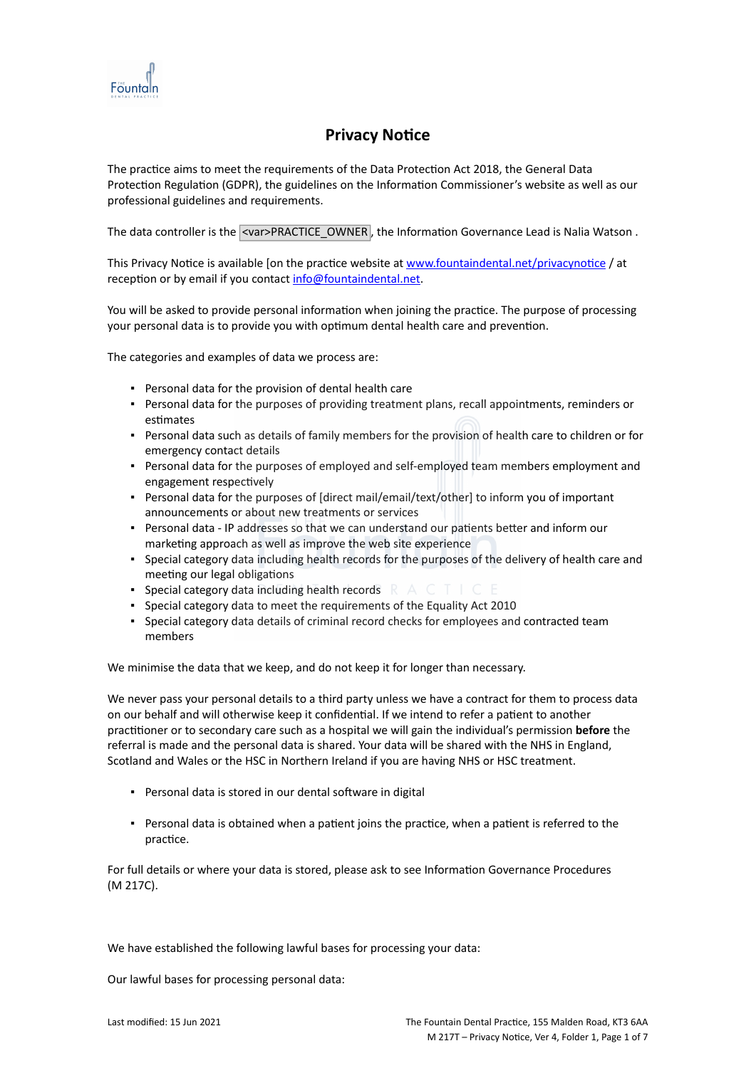

# **Privacy Notice**

The practice aims to meet the requirements of the Data Protection Act 2018, the General Data Protection Regulation (GDPR), the guidelines on the Information Commissioner's website as well as our professional guidelines and requirements.

The data controller is the <var>PRACTICE\_OWNER, the Information Governance Lead is Nalia Watson .

This Privacy Notice is available [on the practice website at [www.fountaindental.net/privacynotice](http://www.practice.com/) / at reception or by email if you contact [info@fountaindental.net](mailto:info@practice.com).

You will be asked to provide personal information when joining the practice. The purpose of processing your personal data is to provide you with optimum dental health care and prevention.

The categories and examples of data we process are:

- Personal data for the provision of dental health care
- Personal data for the purposes of providing treatment plans, recall appointments, reminders or estimates
- Personal data such as details of family members for the provision of health care to children or for emergency contact details
- Personal data for the purposes of employed and self-employed team members employment and engagement respectively
- Personal data for the purposes of [direct mail/email/text/other] to inform you of important announcements or about new treatments or services
- Personal data IP addresses so that we can understand our patients better and inform our marketing approach as well as improve the web site experience
- Special category data including health records for the purposes of the delivery of health care and meeting our legal obligations
- **•** Special category data including health records  $R A C T$
- Special category data to meet the requirements of the Equality Act 2010
- Special category data details of criminal record checks for employees and contracted team members

We minimise the data that we keep, and do not keep it for longer than necessary.

We never pass your personal details to a third party unless we have a contract for them to process data on our behalf and will otherwise keep it confidential. If we intend to refer a patient to another practitioner or to secondary care such as a hospital we will gain the individual's permission **before** the referral is made and the personal data is shared. Your data will be shared with the NHS in England, Scotland and Wales or the HSC in Northern Ireland if you are having NHS or HSC treatment.

- Personal data is stored in our dental software in digital
- Personal data is obtained when a patient joins the practice, when a patient is referred to the practice.

For full details or where your data is stored, please ask to see Information Governance Procedures (M 217C).

We have established the following lawful bases for processing your data:

Our lawful bases for processing personal data: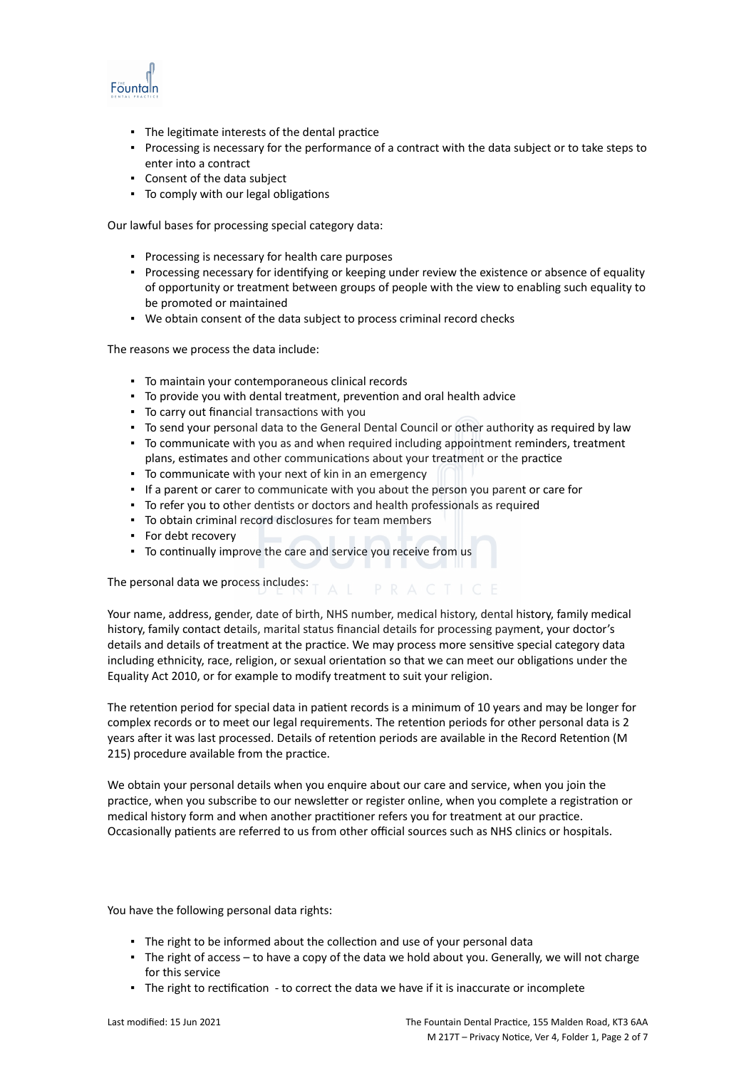

- The legitimate interests of the dental practice
- Processing is necessary for the performance of a contract with the data subject or to take steps to enter into a contract
- Consent of the data subject
- To comply with our legal obligations

Our lawful bases for processing special category data:

- Processing is necessary for health care purposes
- Processing necessary for identifying or keeping under review the existence or absence of equality of opportunity or treatment between groups of people with the view to enabling such equality to be promoted or maintained
- We obtain consent of the data subject to process criminal record checks

The reasons we process the data include:

- To maintain your contemporaneous clinical records
- To provide you with dental treatment, prevention and oral health advice
- To carry out financial transactions with you
- To send your personal data to the General Dental Council or other authority as required by law
- To communicate with you as and when required including appointment reminders, treatment plans, estimates and other communications about your treatment or the practice
- To communicate with your next of kin in an emergency
- If a parent or carer to communicate with you about the person you parent or care for
- To refer you to other dentists or doctors and health professionals as required
- To obtain criminal record disclosures for team members
- For debt recovery
- To continually improve the care and service you receive from us

The personal data we process includes:  $T A L P R A C T C E$ 

Your name, address, gender, date of birth, NHS number, medical history, dental history, family medical history, family contact details, marital status financial details for processing payment, your doctor's details and details of treatment at the practice. We may process more sensitive special category data including ethnicity, race, religion, or sexual orientation so that we can meet our obligations under the Equality Act 2010, or for example to modify treatment to suit your religion.

The retention period for special data in patient records is a minimum of 10 years and may be longer for complex records or to meet our legal requirements. The retention periods for other personal data is 2 years after it was last processed. Details of retention periods are available in the Record Retention (M 215) procedure available from the practice.

We obtain your personal details when you enquire about our care and service, when you join the practice, when you subscribe to our newsletter or register online, when you complete a registration or medical history form and when another practitioner refers you for treatment at our practice. Occasionally patients are referred to us from other official sources such as NHS clinics or hospitals.

You have the following personal data rights:

- **The right to be informed about the collection and use of your personal data**
- The right of access to have a copy of the data we hold about you. Generally, we will not charge for this service
- The right to rectification to correct the data we have if it is inaccurate or incomplete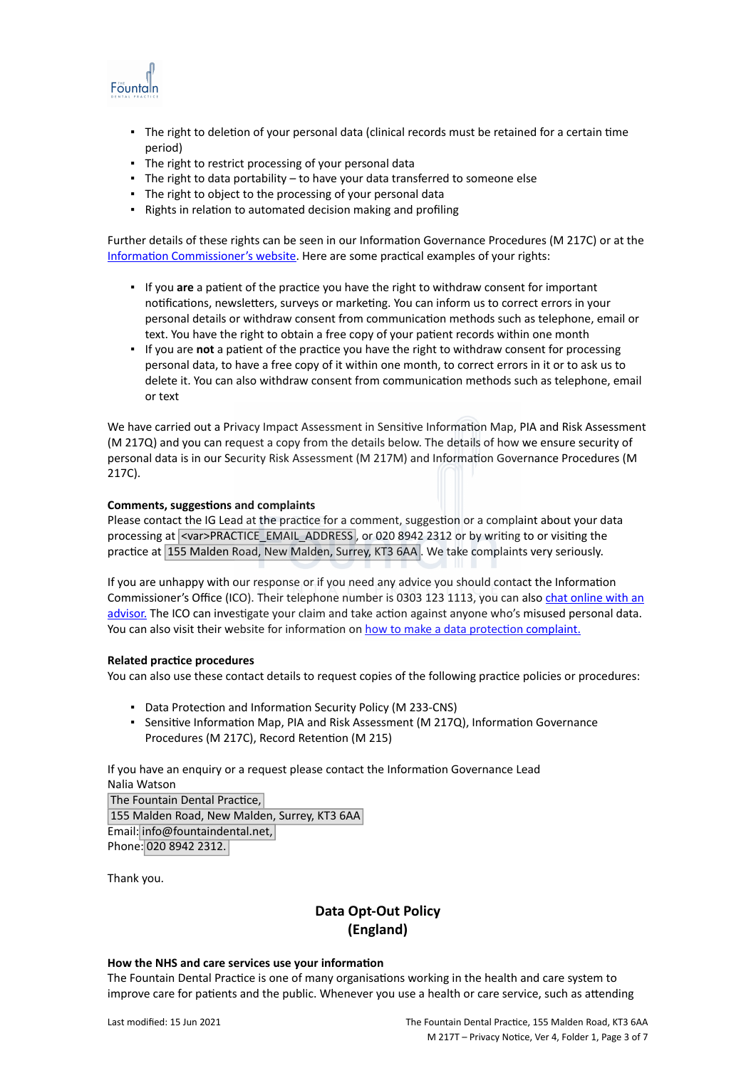

- The right to deletion of your personal data (clinical records must be retained for a certain time period)
- The right to restrict processing of your personal data
- The right to data portability to have your data transferred to someone else
- The right to object to the processing of your personal data
- Rights in relation to automated decision making and profiling

Further details of these rights can be seen in our Information Governance Procedures (M 217C) or at the [Information Commissioner's website](https://ico.org.uk/for-organisations/guide-to-the-general-data-protection-regulation-gdpr/individual-rights/). Here are some practical examples of your rights:

- If you **are** a patient of the practice you have the right to withdraw consent for important notifications, newsletters, surveys or marketing. You can inform us to correct errors in your personal details or withdraw consent from communication methods such as telephone, email or text. You have the right to obtain a free copy of your patient records within one month
- If you are **not** a patient of the practice you have the right to withdraw consent for processing personal data, to have a free copy of it within one month, to correct errors in it or to ask us to delete it. You can also withdraw consent from communication methods such as telephone, email or text

We have carried out a Privacy Impact Assessment in Sensitive Information Map, PIA and Risk Assessment (M 217Q) and you can request a copy from the details below. The details of how we ensure security of personal data is in our Security Risk Assessment (M 217M) and Information Governance Procedures (M 217C).

## **Comments, suggestions and complaints**

Please contact the IG Lead at the practice for a comment, suggestion or a complaint about your data processing at <var>PRACTICE\_EMAIL\_ADDRESS, or 020 8942 2312 or by writing to or visiting the practice at 155 Malden Road, New Malden, Surrey, KT3 6AA . We take complaints very seriously.

If you are unhappy with our response or if you need any advice you should contact the Information Commissioner's Office (ICO). Their telephone number is 0303 123 1113, you can also [chat online with an](https://ico.org.uk/global/contact-us/live-chat/) [advisor.](https://ico.org.uk/global/contact-us/live-chat/) The ICO can investigate your claim and take action against anyone who's misused personal data. You can also visit their website for information on [how to make a data protection complaint.](http://www.ico.org.uk/complaints)

## **Related practice procedures**

You can also use these contact details to request copies of the following practice policies or procedures:

- Data Protection and Information Security Policy (M 233-CNS)
- Sensitive Information Map, PIA and Risk Assessment (M 217Q), Information Governance Procedures (M 217C), Record Retention (M 215)

If you have an enquiry or a request please contact the Information Governance Lead Nalia Watson

The Fountain Dental Practice, 155 Malden Road, New Malden, Surrey, KT3 6AA Email: info@fountaindental.net, Phone: 020 8942 2312.

Thank you.

# **Data Opt-Out Policy (England)**

## **How the NHS and care services use your information**

The Fountain Dental Practice is one of many organisations working in the health and care system to improve care for patients and the public. Whenever you use a health or care service, such as attending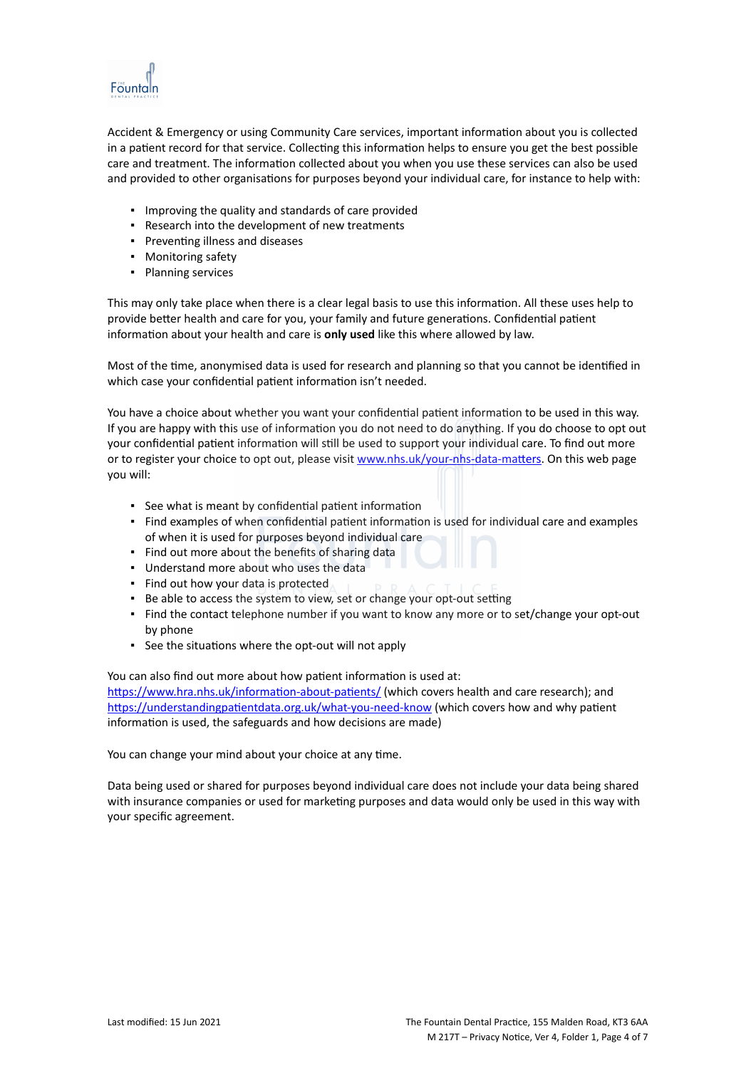

Accident & Emergency or using Community Care services, important information about you is collected in a patient record for that service. Collecting this information helps to ensure you get the best possible care and treatment. The information collected about you when you use these services can also be used and provided to other organisations for purposes beyond your individual care, for instance to help with:

- Improving the quality and standards of care provided
- Research into the development of new treatments
- Preventing illness and diseases
- Monitoring safety
- Planning services

This may only take place when there is a clear legal basis to use this information. All these uses help to provide better health and care for you, your family and future generations. Confidential patient information about your health and care is **only used** like this where allowed by law.

Most of the time, anonymised data is used for research and planning so that you cannot be identified in which case your confidential patient information isn't needed.

You have a choice about whether you want your confidential patient information to be used in this way. If you are happy with this use of information you do not need to do anything. If you do choose to opt out your confidential patient information will still be used to support your individual care. To find out more or to register your choice to opt out, please visit [www.nhs.uk/your-nhs-data-matters](http://www.nhs.uk/your-nhs-data-matters). On this web page you will:

- See what is meant by confidential patient information
- Find examples of when confidential patient information is used for individual care and examples of when it is used for purposes beyond individual care
- Find out more about the benefits of sharing data
- Understand more about who uses the data
- Find out how your data is protected
- Be able to access the system to view, set or change your opt-out setting
- Find the contact telephone number if you want to know any more or to set/change your opt-out by phone
- See the situations where the opt-out will not apply

You can also find out more about how patient information is used at: [https://www.hra.nhs.uk/information-about-patients/](https://www.hra.nhs.uk/information-about-patients/%20) (which covers health and care research); and <https://understandingpatientdata.org.uk/what-you-need-know> (which covers how and why patient information is used, the safeguards and how decisions are made)

You can change your mind about your choice at any time.

Data being used or shared for purposes beyond individual care does not include your data being shared with insurance companies or used for marketing purposes and data would only be used in this way with your specific agreement.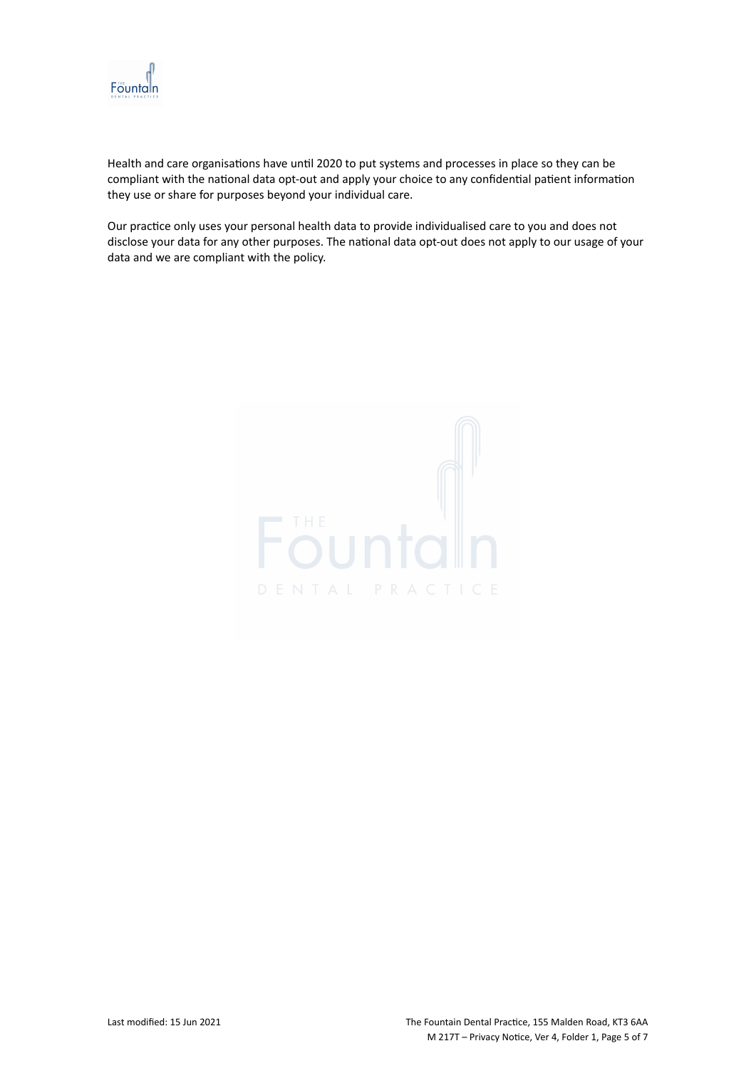

Health and care organisations have until 2020 to put systems and processes in place so they can be compliant with the national data opt-out and apply your choice to any confidential patient information they use or share for purposes beyond your individual care.

Our practice only uses your personal health data to provide individualised care to you and does not disclose your data for any other purposes. The national data opt-out does not apply to our usage of your data and we are compliant with the policy.

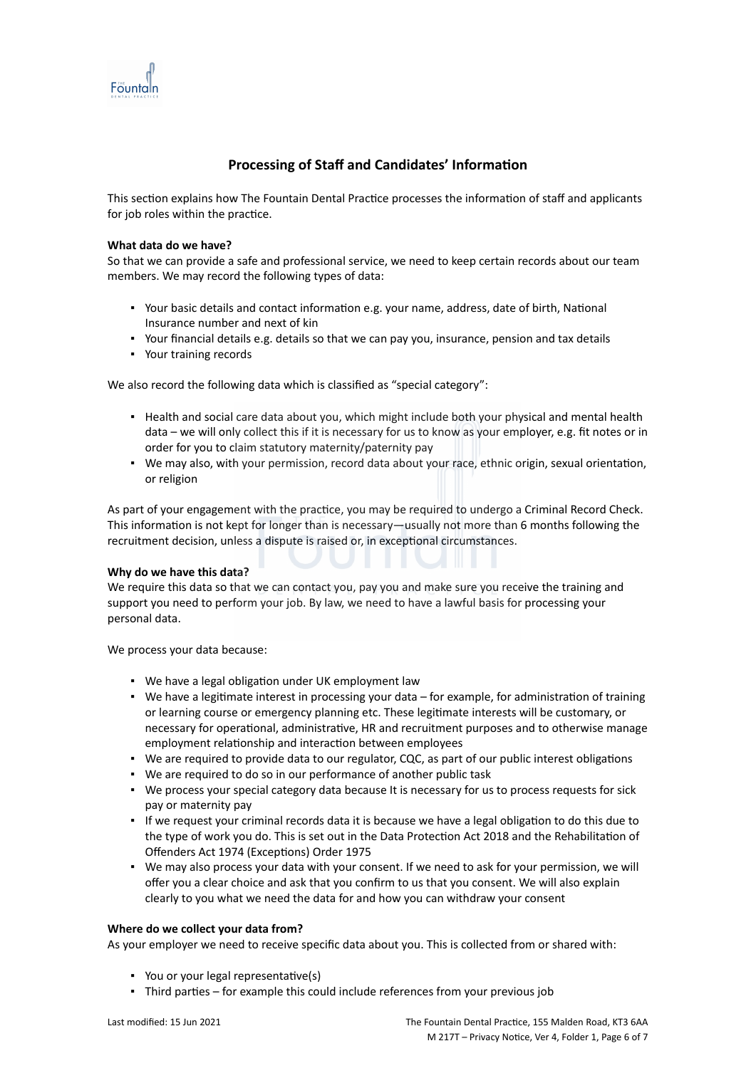

# **Processing of Staff and Candidates' Information**

This section explains how The Fountain Dental Practice processes the information of staff and applicants for job roles within the practice.

#### **What data do we have?**

So that we can provide a safe and professional service, we need to keep certain records about our team members. We may record the following types of data:

- Your basic details and contact information e.g. your name, address, date of birth, National Insurance number and next of kin
- Your financial details e.g. details so that we can pay you, insurance, pension and tax details
- Your training records

We also record the following data which is classified as "special category":

- Health and social care data about you, which might include both your physical and mental health data – we will only collect this if it is necessary for us to know as your employer, e.g. fit notes or in order for you to claim statutory maternity/paternity pay
- We may also, with your permission, record data about your race, ethnic origin, sexual orientation, or religion

As part of your engagement with the practice, you may be required to undergo a Criminal Record Check. This information is not kept for longer than is necessary—usually not more than 6 months following the recruitment decision, unless a dispute is raised or, in exceptional circumstances.

#### **Why do we have this data?**

We require this data so that we can contact you, pay you and make sure you receive the training and support you need to perform your job. By law, we need to have a lawful basis for processing your personal data.

We process your data because:

- We have a legal obligation under UK employment law
- We have a legitimate interest in processing your data for example, for administration of training or learning course or emergency planning etc. These legitimate interests will be customary, or necessary for operational, administrative, HR and recruitment purposes and to otherwise manage employment relationship and interaction between employees
- We are required to provide data to our regulator, CQC, as part of our public interest obligations
- We are required to do so in our performance of another public task
- We process your special category data because It is necessary for us to process requests for sick pay or maternity pay
- If we request your criminal records data it is because we have a legal obligation to do this due to the type of work you do. This is set out in the Data Protection Act 2018 and the Rehabilitation of Offenders Act 1974 (Exceptions) Order 1975
- We may also process your data with your consent. If we need to ask for your permission, we will offer you a clear choice and ask that you confirm to us that you consent. We will also explain clearly to you what we need the data for and how you can withdraw your consent

#### **Where do we collect your data from?**

As your employer we need to receive specific data about you. This is collected from or shared with:

- You or your legal representative(s)
- Third parties for example this could include references from your previous job